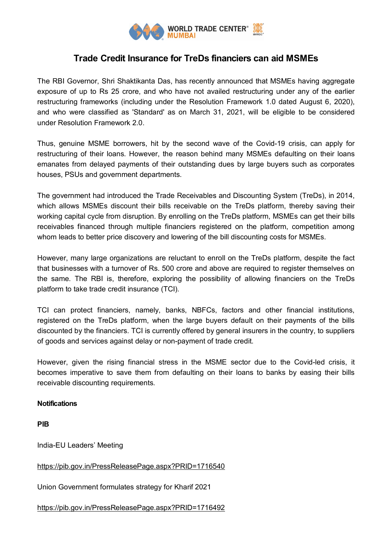

## **Trade Credit Insurance for TreDs financiers can aid MSMEs**

The RBI Governor, Shri Shaktikanta Das, has recently announced that MSMEs having aggregate exposure of up to Rs 25 crore, and who have not availed restructuring under any of the earlier restructuring frameworks (including under the Resolution Framework 1.0 dated August 6, 2020), and who were classified as 'Standard' as on March 31, 2021, will be eligible to be considered under Resolution Framework 2.0.

Thus, genuine MSME borrowers, hit by the second wave of the Covid-19 crisis, can apply for restructuring of their loans. However, the reason behind many MSMEs defaulting on their loans emanates from delayed payments of their outstanding dues by large buyers such as corporates houses, PSUs and government departments.

The government had introduced the Trade Receivables and Discounting System (TreDs), in 2014, which allows MSMEs discount their bills receivable on the TreDs platform, thereby saving their working capital cycle from disruption. By enrolling on the TreDs platform, MSMEs can get their bills receivables financed through multiple financiers registered on the platform, competition among whom leads to better price discovery and lowering of the bill discounting costs for MSMEs.

However, many large organizations are reluctant to enroll on the TreDs platform, despite the fact that businesses with a turnover of Rs. 500 crore and above are required to register themselves on the same. The RBI is, therefore, exploring the possibility of allowing financiers on the TreDs platform to take trade credit insurance (TCI).

TCI can protect financiers, namely, banks, NBFCs, factors and other financial institutions, registered on the TreDs platform, when the large buyers default on their payments of the bills discounted by the financiers. TCI is currently offered by general insurers in the country, to suppliers of goods and services against delay or non-payment of trade credit.

However, given the rising financial stress in the MSME sector due to the Covid-led crisis, it becomes imperative to save them from defaulting on their loans to banks by easing their bills receivable discounting requirements.

## **Notifications**

**PIB**

India-EU Leaders' Meeting

## <https://pib.gov.in/PressReleasePage.aspx?PRID=1716540>

Union Government formulates strategy for Kharif 2021

## <https://pib.gov.in/PressReleasePage.aspx?PRID=1716492>